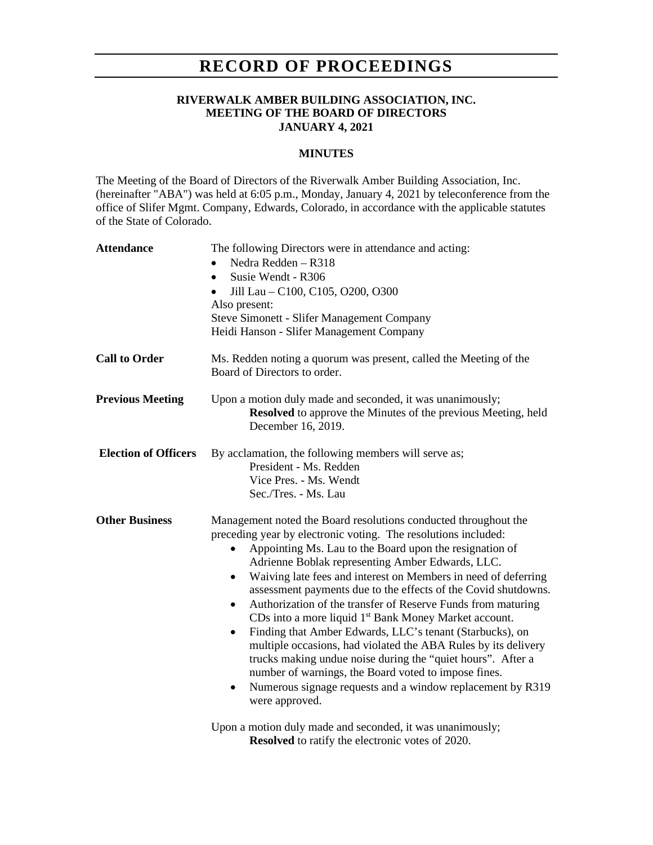# **RECORD OF PROCEEDINGS**

#### **RIVERWALK AMBER BUILDING ASSOCIATION, INC. MEETING OF THE BOARD OF DIRECTORS JANUARY 4, 2021**

### **MINUTES**

The Meeting of the Board of Directors of the Riverwalk Amber Building Association, Inc. (hereinafter "ABA") was held at 6:05 p.m., Monday, January 4, 2021 by teleconference from the office of Slifer Mgmt. Company, Edwards, Colorado, in accordance with the applicable statutes of the State of Colorado.

| <b>Attendance</b>           | The following Directors were in attendance and acting:<br>Nedra Redden - R318<br>Susie Wendt - R306<br>$\bullet$<br>Jill Lau - C100, C105, O200, O300<br>$\bullet$<br>Also present:<br>Steve Simonett - Slifer Management Company<br>Heidi Hanson - Slifer Management Company                                                                                                                                                                                                                                                                                                                                                                                                                                                                                                                                                                                                                                   |
|-----------------------------|-----------------------------------------------------------------------------------------------------------------------------------------------------------------------------------------------------------------------------------------------------------------------------------------------------------------------------------------------------------------------------------------------------------------------------------------------------------------------------------------------------------------------------------------------------------------------------------------------------------------------------------------------------------------------------------------------------------------------------------------------------------------------------------------------------------------------------------------------------------------------------------------------------------------|
| <b>Call to Order</b>        | Ms. Redden noting a quorum was present, called the Meeting of the<br>Board of Directors to order.                                                                                                                                                                                                                                                                                                                                                                                                                                                                                                                                                                                                                                                                                                                                                                                                               |
| <b>Previous Meeting</b>     | Upon a motion duly made and seconded, it was unanimously;<br><b>Resolved</b> to approve the Minutes of the previous Meeting, held<br>December 16, 2019.                                                                                                                                                                                                                                                                                                                                                                                                                                                                                                                                                                                                                                                                                                                                                         |
| <b>Election of Officers</b> | By acclamation, the following members will serve as;<br>President - Ms. Redden<br>Vice Pres. - Ms. Wendt<br>Sec./Tres. - Ms. Lau                                                                                                                                                                                                                                                                                                                                                                                                                                                                                                                                                                                                                                                                                                                                                                                |
| <b>Other Business</b>       | Management noted the Board resolutions conducted throughout the<br>preceding year by electronic voting. The resolutions included:<br>Appointing Ms. Lau to the Board upon the resignation of<br>٠<br>Adrienne Boblak representing Amber Edwards, LLC.<br>Waiving late fees and interest on Members in need of deferring<br>$\bullet$<br>assessment payments due to the effects of the Covid shutdowns.<br>Authorization of the transfer of Reserve Funds from maturing<br>$\bullet$<br>CDs into a more liquid 1 <sup>st</sup> Bank Money Market account.<br>Finding that Amber Edwards, LLC's tenant (Starbucks), on<br>$\bullet$<br>multiple occasions, had violated the ABA Rules by its delivery<br>trucks making undue noise during the "quiet hours". After a<br>number of warnings, the Board voted to impose fines.<br>Numerous signage requests and a window replacement by R319<br>٠<br>were approved. |
|                             | Upon a motion duly made and seconded, it was unanimously;<br>Resolved to ratify the electronic votes of 2020.                                                                                                                                                                                                                                                                                                                                                                                                                                                                                                                                                                                                                                                                                                                                                                                                   |